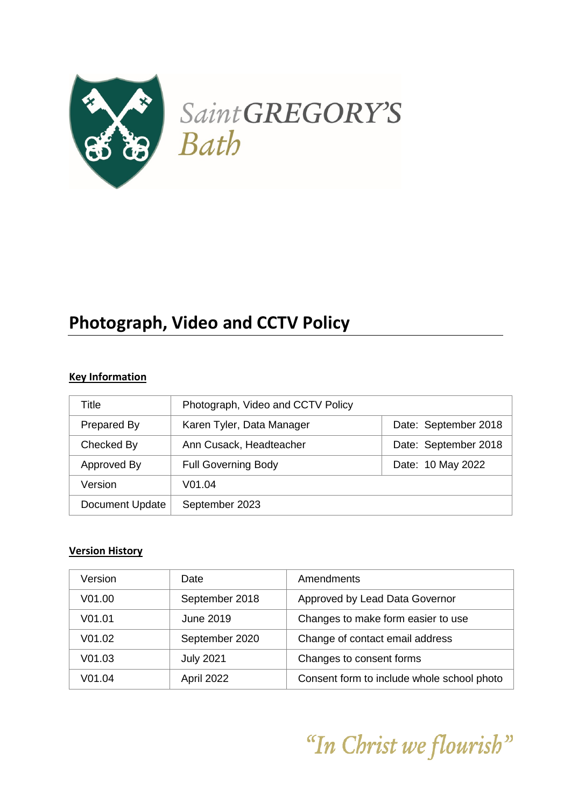

# **Photograph, Video and CCTV Policy**

#### **Key Information**

| Title           | Photograph, Video and CCTV Policy |                      |
|-----------------|-----------------------------------|----------------------|
| Prepared By     | Karen Tyler, Data Manager         | Date: September 2018 |
| Checked By      | Ann Cusack, Headteacher           | Date: September 2018 |
| Approved By     | <b>Full Governing Body</b>        | Date: 10 May 2022    |
| Version         | V01.04                            |                      |
| Document Update | September 2023                    |                      |

#### **Version History**

| Version            | Date             | Amendments                                 |
|--------------------|------------------|--------------------------------------------|
| V <sub>01.00</sub> | September 2018   | Approved by Lead Data Governor             |
| V <sub>01.01</sub> | <b>June 2019</b> | Changes to make form easier to use         |
| V <sub>01.02</sub> | September 2020   | Change of contact email address            |
| V <sub>01.03</sub> | <b>July 2021</b> | Changes to consent forms                   |
| V01.04             | April 2022       | Consent form to include whole school photo |

"In Christ we flourish"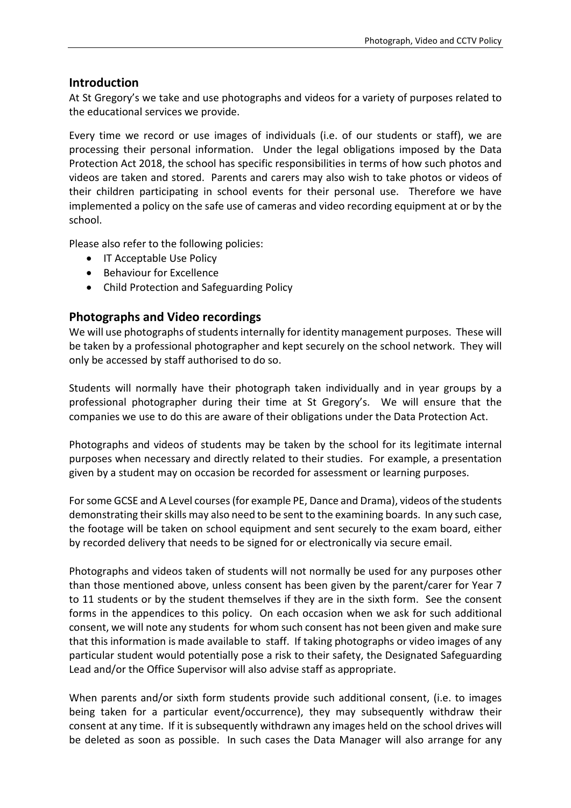#### **Introduction**

At St Gregory's we take and use photographs and videos for a variety of purposes related to the educational services we provide.

Every time we record or use images of individuals (i.e. of our students or staff), we are processing their personal information. Under the legal obligations imposed by the Data Protection Act 2018, the school has specific responsibilities in terms of how such photos and videos are taken and stored. Parents and carers may also wish to take photos or videos of their children participating in school events for their personal use. Therefore we have implemented a policy on the safe use of cameras and video recording equipment at or by the school.

Please also refer to the following policies:

- IT Acceptable Use Policy
- Behaviour for Excellence
- Child Protection and Safeguarding Policy

#### **Photographs and Video recordings**

We will use photographs of students internally for identity management purposes. These will be taken by a professional photographer and kept securely on the school network. They will only be accessed by staff authorised to do so.

Students will normally have their photograph taken individually and in year groups by a professional photographer during their time at St Gregory's. We will ensure that the companies we use to do this are aware of their obligations under the Data Protection Act.

Photographs and videos of students may be taken by the school for its legitimate internal purposes when necessary and directly related to their studies. For example, a presentation given by a student may on occasion be recorded for assessment or learning purposes.

For some GCSE and A Level courses (for example PE, Dance and Drama), videos of the students demonstrating their skills may also need to be sent to the examining boards. In any such case, the footage will be taken on school equipment and sent securely to the exam board, either by recorded delivery that needs to be signed for or electronically via secure email.

Photographs and videos taken of students will not normally be used for any purposes other than those mentioned above, unless consent has been given by the parent/carer for Year 7 to 11 students or by the student themselves if they are in the sixth form. See the consent forms in the appendices to this policy. On each occasion when we ask for such additional consent, we will note any students for whom such consent has not been given and make sure that this information is made available to staff. If taking photographs or video images of any particular student would potentially pose a risk to their safety, the Designated Safeguarding Lead and/or the Office Supervisor will also advise staff as appropriate.

When parents and/or sixth form students provide such additional consent, (i.e. to images being taken for a particular event/occurrence), they may subsequently withdraw their consent at any time. If it is subsequently withdrawn any images held on the school drives will be deleted as soon as possible. In such cases the Data Manager will also arrange for any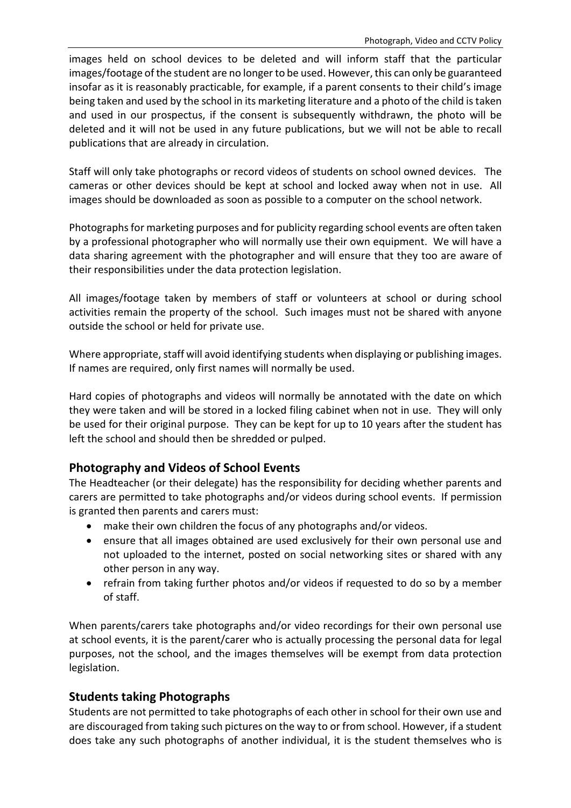images held on school devices to be deleted and will inform staff that the particular images/footage of the student are no longer to be used. However, this can only be guaranteed insofar as it is reasonably practicable, for example, if a parent consents to their child's image being taken and used by the school in its marketing literature and a photo of the child is taken and used in our prospectus, if the consent is subsequently withdrawn, the photo will be deleted and it will not be used in any future publications, but we will not be able to recall publications that are already in circulation.

Staff will only take photographs or record videos of students on school owned devices. The cameras or other devices should be kept at school and locked away when not in use. All images should be downloaded as soon as possible to a computer on the school network.

Photographs for marketing purposes and for publicity regarding school events are often taken by a professional photographer who will normally use their own equipment. We will have a data sharing agreement with the photographer and will ensure that they too are aware of their responsibilities under the data protection legislation.

All images/footage taken by members of staff or volunteers at school or during school activities remain the property of the school. Such images must not be shared with anyone outside the school or held for private use.

Where appropriate, staff will avoid identifying students when displaying or publishing images. If names are required, only first names will normally be used.

Hard copies of photographs and videos will normally be annotated with the date on which they were taken and will be stored in a locked filing cabinet when not in use. They will only be used for their original purpose. They can be kept for up to 10 years after the student has left the school and should then be shredded or pulped.

# **Photography and Videos of School Events**

The Headteacher (or their delegate) has the responsibility for deciding whether parents and carers are permitted to take photographs and/or videos during school events. If permission is granted then parents and carers must:

- make their own children the focus of any photographs and/or videos.
- ensure that all images obtained are used exclusively for their own personal use and not uploaded to the internet, posted on social networking sites or shared with any other person in any way.
- refrain from taking further photos and/or videos if requested to do so by a member of staff.

When parents/carers take photographs and/or video recordings for their own personal use at school events, it is the parent/carer who is actually processing the personal data for legal purposes, not the school, and the images themselves will be exempt from data protection legislation.

### **Students taking Photographs**

Students are not permitted to take photographs of each other in school for their own use and are discouraged from taking such pictures on the way to or from school. However, if a student does take any such photographs of another individual, it is the student themselves who is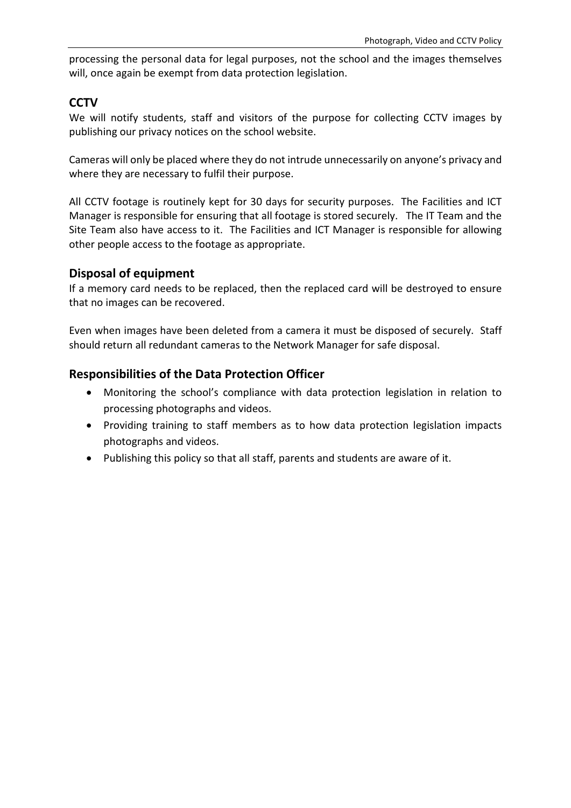processing the personal data for legal purposes, not the school and the images themselves will, once again be exempt from data protection legislation.

## **CCTV**

We will notify students, staff and visitors of the purpose for collecting CCTV images by publishing our privacy notices on the school website.

Cameras will only be placed where they do not intrude unnecessarily on anyone's privacy and where they are necessary to fulfil their purpose.

All CCTV footage is routinely kept for 30 days for security purposes. The Facilities and ICT Manager is responsible for ensuring that all footage is stored securely. The IT Team and the Site Team also have access to it. The Facilities and ICT Manager is responsible for allowing other people access to the footage as appropriate.

### **Disposal of equipment**

If a memory card needs to be replaced, then the replaced card will be destroyed to ensure that no images can be recovered.

Even when images have been deleted from a camera it must be disposed of securely. Staff should return all redundant cameras to the Network Manager for safe disposal.

# **Responsibilities of the Data Protection Officer**

- Monitoring the school's compliance with data protection legislation in relation to processing photographs and videos.
- Providing training to staff members as to how data protection legislation impacts photographs and videos.
- Publishing this policy so that all staff, parents and students are aware of it.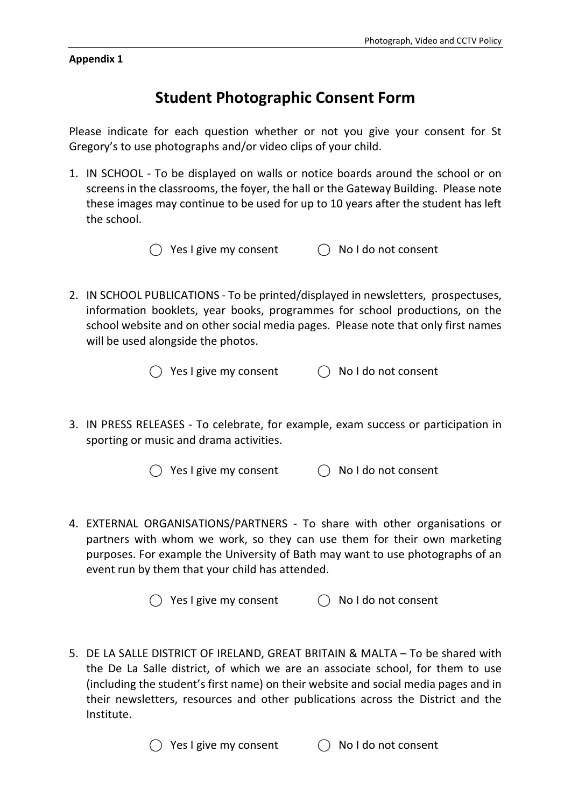#### **Appendix 1**

# **Student Photographic Consent Form**

Please indicate for each question whether or not you give your consent for St Gregory's to use photographs and/or video clips of your child.

- 1. IN SCHOOL To be displayed on walls or notice boards around the school or on screens in the classrooms, the foyer, the hall or the Gateway Building. Please note these images may continue to be used for up to 10 years after the student has left the school.
	- $\bigcirc$  Yes I give my consent  $\bigcirc$  No I do not consent
- 2. IN SCHOOL PUBLICATIONS To be printed/displayed in newsletters, prospectuses, information booklets, year books, programmes for school productions, on the school website and on other social media pages. Please note that only first names will be used alongside the photos.

- 
- 3. IN PRESS RELEASES To celebrate, for example, exam success or participation in sporting or music and drama activities.
	- $\bigcap$  Yes I give my consent  $\bigcap$  No I do not consent
- 4. EXTERNAL ORGANISATIONS/PARTNERS To share with other organisations or partners with whom we work, so they can use them for their own marketing purposes. For example the University of Bath may want to use photographs of an event run by them that your child has attended.

```
\bigcap Yes I give my consent \bigcap No I do not consent
```
5. DE LA SALLE DISTRICT OF IRELAND, GREAT BRITAIN & MALTA – To be shared with the De La Salle district, of which we are an associate school, for them to use (including the student's first name) on their website and social media pages and in their newsletters, resources and other publications across the District and the Institute.

 $\bigcirc$  Yes I give my consent  $\bigcirc$  No I do not consent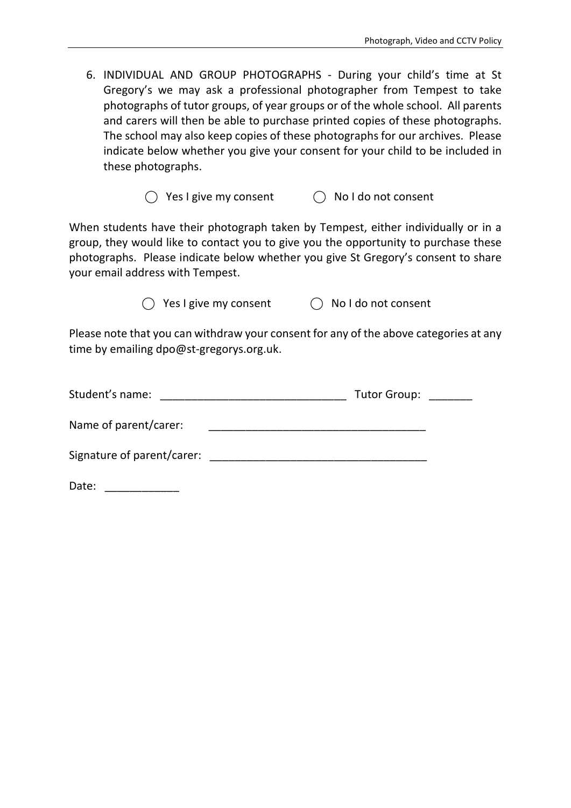6. INDIVIDUAL AND GROUP PHOTOGRAPHS - During your child's time at St Gregory's we may ask a professional photographer from Tempest to take photographs of tutor groups, of year groups or of the whole school. All parents and carers will then be able to purchase printed copies of these photographs. The school may also keep copies of these photographs for our archives. Please indicate below whether you give your consent for your child to be included in these photographs.

 $\bigcirc$  Yes I give my consent  $\bigcirc$  No I do not consent

When students have their photograph taken by Tempest, either individually or in a group, they would like to contact you to give you the opportunity to purchase these photographs. Please indicate below whether you give St Gregory's consent to share your email address with Tempest.

 $\bigcirc$  Yes I give my consent  $\bigcirc$  No I do not consent

Please note that you can withdraw your consent for any of the above categories at any time by emailing [dpo@st-gregorys.org.uk.](mailto:dpo@st-gregorys.org.uk)

| Student's name:            | <b>Tutor Group:</b> |
|----------------------------|---------------------|
| Name of parent/carer:      |                     |
| Signature of parent/carer: |                     |
| Date:                      |                     |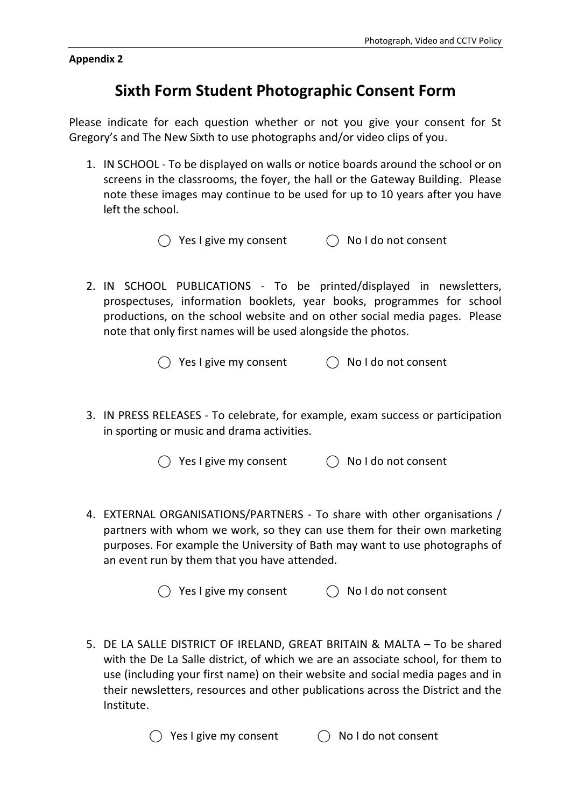# **Sixth Form Student Photographic Consent Form**

Please indicate for each question whether or not you give your consent for St Gregory's and The New Sixth to use photographs and/or video clips of you.

- 1. IN SCHOOL To be displayed on walls or notice boards around the school or on screens in the classrooms, the foyer, the hall or the Gateway Building. Please note these images may continue to be used for up to 10 years after you have left the school.
	- $\bigcap$  Yes I give my consent  $\bigcap$  No I do not consent
- 2. IN SCHOOL PUBLICATIONS To be printed/displayed in newsletters, prospectuses, information booklets, year books, programmes for school productions, on the school website and on other social media pages. Please note that only first names will be used alongside the photos.
	- $\bigcirc$  Yes I give my consent  $\bigcirc$  No I do not consent
- 3. IN PRESS RELEASES To celebrate, for example, exam success or participation in sporting or music and drama activities.

 $\bigcap$  Yes I give my consent  $\bigcap$  No I do not consent

- 4. EXTERNAL ORGANISATIONS/PARTNERS To share with other organisations / partners with whom we work, so they can use them for their own marketing purposes. For example the University of Bath may want to use photographs of an event run by them that you have attended.
	- () Yes I give my consent () No I do not consent
- 5. DE LA SALLE DISTRICT OF IRELAND, GREAT BRITAIN & MALTA To be shared with the De La Salle district, of which we are an associate school, for them to use (including your first name) on their website and social media pages and in their newsletters, resources and other publications across the District and the Institute.

 $\bigcirc$  Yes I give my consent  $\bigcirc$  No I do not consent